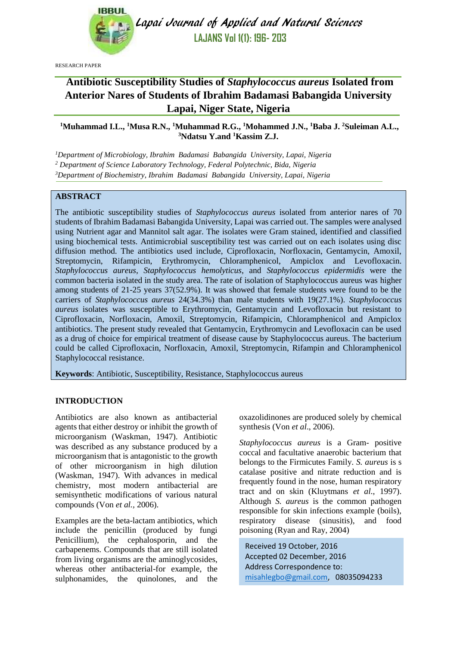

Lapai Journal of Applied and Natural Sciences **LAJANS Vol 1(1): 196- 203**

RESEARCH PAPER

# **Antibiotic Susceptibility Studies of** *Staphylococcus aureus* **Isolated from Anterior Nares of Students of Ibrahim Badamasi Babangida University Lapai, Niger State, Nigeria**

# **<sup>1</sup>Muhammad I.L., <sup>1</sup>Musa R.N., <sup>1</sup>Muhammad R.G., <sup>1</sup>Mohammed J.N., <sup>1</sup>Baba J. <sup>2</sup>Suleiman A.L., <sup>3</sup>Ndatsu Y.and <sup>1</sup>Kassim Z.J.**

*<sup>1</sup>Department of Microbiology, Ibrahim Badamasi Babangida University, Lapai, Nigeria*

*<sup>2</sup> Department of Science Laboratory Technology, Federal Polytechnic, Bida, Nigeria*

*<sup>3</sup>Department of Biochemistry, Ibrahim Badamasi Babangida University, Lapai, Nigeria*

# **ABSTRACT**

The antibiotic susceptibility studies of *Staphylococcus aureus* isolated from anterior nares of 70 students of Ibrahim Badamasi Babangida University, Lapai was carried out. The samples were analysed using Nutrient agar and Mannitol salt agar. The isolates were Gram stained, identified and classified using biochemical tests. Antimicrobial susceptibility test was carried out on each isolates using disc diffusion method. The antibiotics used include, Ciprofloxacin, Norfloxacin, Gentamycin, Amoxil, Streptomycin, Rifampicin, Erythromycin, Chloramphenicol, Ampiclox and Levofloxacin. *Staphylococcus aureus*, *Staphylococcus hemolyticus*, and *Staphylococcus epidermidis* were the common bacteria isolated in the study area. The rate of isolation of Staphylococcus aureus was higher among students of 21-25 years 37(52.9%). It was showed that female students were found to be the carriers of *Staphylococcus aureus* 24(34.3%) than male students with 19(27.1%). *Staphylococcus aureus* isolates was susceptible to Erythromycin, Gentamycin and Levofloxacin but resistant to Ciprofloxacin, Norfloxacin, Amoxil, Streptomycin, Rifampicin, Chloramphenicol and Ampiclox antibiotics. The present study revealed that Gentamycin, Erythromycin and Levofloxacin can be used as a drug of choice for empirical treatment of disease cause by Staphylococcus aureus. The bacterium could be called Ciprofloxacin, Norfloxacin, Amoxil, Streptomycin, Rifampin and Chloramphenicol Staphylococcal resistance.

**Keywords**: Antibiotic, Susceptibility, Resistance, Staphylococcus aureus

# **INTRODUCTION**

Antibiotics are also known as antibacterial agents that either destroy or inhibit the growth of microorganism (Waskman, 1947). Antibiotic was described as any substance produced by a microorganism that is antagonistic to the growth of other microorganism in high dilution (Waskman, 1947). With advances in medical chemistry, most modern antibacterial are semisynthetic modifications of various natural compounds (Von *et al.,* 2006).

Examples are the beta-lactam antibiotics, which include the penicillin (produced by fungi Penicillium), the cephalosporin, and the carbapenems. Compounds that are still isolated from living organisms are the aminoglycosides, whereas other antibacterial-for example, the sulphonamides, the quinolones, and the oxazolidinones are produced solely by chemical synthesis (Von *et al*., 2006).

*Staphylococcus aureus* is a Gram- positive coccal and facultative anaerobic bacterium that belongs to the Firmicutes Family. *S. aureus* is s catalase positive and nitrate reduction and is frequently found in the nose, human respiratory tract and on skin (Kluytmans *et al*., 1997). Although *S. aureus* is the common pathogen responsible for skin infections example (boils), respiratory disease (sinusitis), and food poisoning (Ryan and Ray, 2004)

Received 19 October, 2016 Accepted 02 December, 2016 Address Correspondence to: [misahlegbo@gmail.com,](mailto:misahlegbo@gmail.com) 08035094233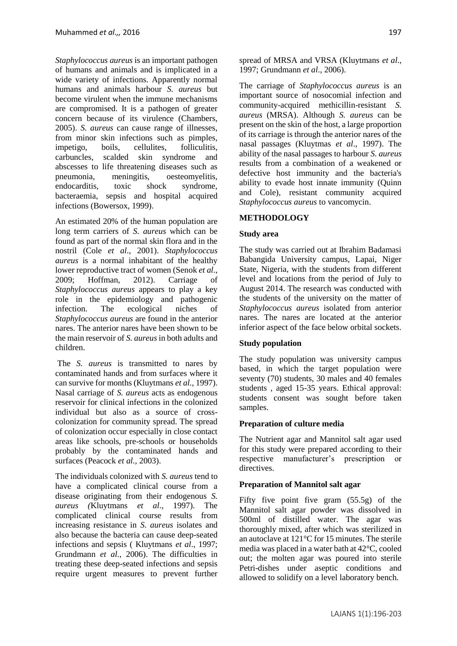*Staphylococcus aureus* is an important pathogen of humans and animals and is implicated in a wide variety of infections. Apparently normal humans and animals harbour *S. aureus* but become virulent when the immune mechanisms are compromised. It is a pathogen of greater concern because of its virulence (Chambers, 2005). *S. aureus* can cause range of illnesses, from minor skin infections such as pimples, impetigo, boils, cellulites, folliculitis, carbuncles, scalded skin syndrome and abscesses to life threatening diseases such as pneumonia, meningitis, oesteomyelitis, endocarditis, toxic shock syndrome, bacteraemia, sepsis and hospital acquired infections (Bowersox, 1999).

An estimated 20% of the human population are long term carriers of *S. aureus* which can be found as part of the normal skin flora and in the nostril (Cole *et al*., 2001). *Staphylococcus aureus* is a normal inhabitant of the healthy lower reproductive tract of women (Senok *et al*., 2009; Hoffman, 2012). Carriage of *Staphylococcus aureus* appears to play a key role in the epidemiology and pathogenic infection. The ecological niches of *Staphylococcus aureus* are found in the anterior nares. The anterior nares have been shown to be the main reservoir of *S. aureus* in both adults and children.

The *S. aureus* is transmitted to nares by contaminated hands and from surfaces where it can survive for months (Kluytmans *et al.*, 1997). Nasal carriage of *S. aureus* acts as endogenous reservoir for clinical infections in the colonized individual but also as a source of crosscolonization for community spread. The spread of colonization occur especially in close contact areas like schools, pre-schools or households probably by the contaminated hands and surfaces (Peacock *et al.,* 2003).

The individuals colonized with *S. aureus* tend to have a complicated clinical course from a disease originating from their endogenous *S. aureus (*Kluytmans *et al*., 1997). The complicated clinical course results from increasing resistance in *S. aureus* isolates and also because the bacteria can cause deep-seated infections and sepsis ( Kluytmans *et al*., 1997; Grundmann *et al.*, 2006). The difficulties in treating these deep-seated infections and sepsis require urgent measures to prevent further spread of MRSA and VRSA (Kluytmans *et al*., 1997; Grundmann *et al*., 2006).

The carriage of *Staphylococcus aureus* is an important source of nosocomial infection and community-acquired methicillin-resistant *S. aureus* (MRSA). Although *S. aureus* can be present on the skin of the host, a large proportion of its carriage is through the anterior nares of the nasal passages (Kluytmas *et al*., 1997). The ability of the nasal passages to harbour *S. aureus* results from a combination of a weakened or defective host immunity and the bacteria's ability to evade host innate immunity (Quinn and Cole), resistant community acquired *Staphylococcus aureus* to vancomycin.

# **METHODOLOGY**

### **Study area**

The study was carried out at Ibrahim Badamasi Babangida University campus, Lapai, Niger State, Nigeria, with the students from different level and locations from the period of July to August 2014. The research was conducted with the students of the university on the matter of *Staphylococcus aureus* isolated from anterior nares. The nares are located at the anterior inferior aspect of the face below orbital sockets.

### **Study population**

The study population was university campus based, in which the target population were seventy (70) students, 30 males and 40 females students , aged 15-35 years. Ethical approval: students consent was sought before taken samples.

### **Preparation of culture media**

The Nutrient agar and Mannitol salt agar used for this study were prepared according to their respective manufacturer's prescription or directives.

### **Preparation of Mannitol salt agar**

Fifty five point five gram (55.5g) of the Mannitol salt agar powder was dissolved in 500ml of distilled water. The agar was thoroughly mixed, after which was sterilized in an autoclave at 121°C for 15 minutes. The sterile media was placed in a water bath at 42°C, cooled out; the molten agar was poured into sterile Petri-dishes under aseptic conditions and allowed to solidify on a level laboratory bench.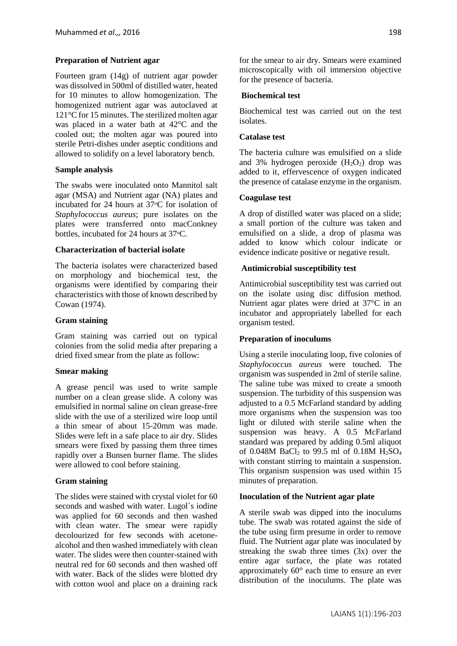# **Preparation of Nutrient agar**

Fourteen gram (14g) of nutrient agar powder was dissolved in 500ml of distilled water, heated for 10 minutes to allow homogenization. The homogenized nutrient agar was autoclaved at 121°C for 15 minutes. The sterilized molten agar was placed in a water bath at 42°C and the cooled out; the molten agar was poured into sterile Petri-dishes under aseptic conditions and allowed to solidify on a level laboratory bench.

# **Sample analysis**

The swabs were inoculated onto Mannitol salt agar (MSA) and Nutrient agar (NA) plates and incubated for 24 hours at  $37^{\circ}$ C for isolation of *Staphylococcus aureus*; pure isolates on the plates were transferred onto macConkney bottles, incubated for 24 hours at 37 °C.

# **Characterization of bacterial isolate**

The bacteria isolates were characterized based on morphology and biochemical test, the organisms were identified by comparing their characteristics with those of known described by Cowan (1974).

# **Gram staining**

Gram staining was carried out on typical colonies from the solid media after preparing a dried fixed smear from the plate as follow:

### **Smear making**

A grease pencil was used to write sample number on a clean grease slide. A colony was emulsified in normal saline on clean grease-free slide with the use of a sterilized wire loop until a thin smear of about 15-20mm was made. Slides were left in a safe place to air dry. Slides smears were fixed by passing them three times rapidly over a Bunsen burner flame. The slides were allowed to cool before staining.

### **Gram staining**

The slides were stained with crystal violet for 60 seconds and washed with water. Lugol`s iodine was applied for 60 seconds and then washed with clean water. The smear were rapidly decolourized for few seconds with acetonealcohol and then washed immediately with clean water. The slides were then counter-stained with neutral red for 60 seconds and then washed off with water. Back of the slides were blotted dry with cotton wool and place on a draining rack for the smear to air dry. Smears were examined microscopically with oil immersion objective for the presence of bacteria.

# **Biochemical test**

Biochemical test was carried out on the test isolates.

# **Catalase test**

The bacteria culture was emulsified on a slide and 3% hydrogen peroxide  $(H_2O_2)$  drop was added to it, effervescence of oxygen indicated the presence of catalase enzyme in the organism.

# **Coagulase test**

A drop of distilled water was placed on a slide; a small portion of the culture was taken and emulsified on a slide, a drop of plasma was added to know which colour indicate or evidence indicate positive or negative result.

# **Antimicrobial susceptibility test**

Antimicrobial susceptibility test was carried out on the isolate using disc diffusion method. Nutrient agar plates were dried at 37°C in an incubator and appropriately labelled for each organism tested.

### **Preparation of inoculums**

Using a sterile inoculating loop, five colonies of *Staphylococcus aureus* were touched. The organism was suspended in 2ml of sterile saline. The saline tube was mixed to create a smooth suspension. The turbidity of this suspension was adjusted to a 0.5 McFarland standard by adding more organisms when the suspension was too light or diluted with sterile saline when the suspension was heavy. A 0.5 McFarland standard was prepared by adding 0.5ml aliquot of 0.048M BaCl<sub>2</sub> to 99.5 ml of 0.18M H<sub>2</sub>SO<sub>4</sub> with constant stirring to maintain a suspension. This organism suspension was used within 15 minutes of preparation.

### **Inoculation of the Nutrient agar plate**

A sterile swab was dipped into the inoculums tube. The swab was rotated against the side of the tube using firm presume in order to remove fluid. The Nutrient agar plate was inoculated by streaking the swab three times (3x) over the entire agar surface, the plate was rotated approximately 60° each time to ensure an ever distribution of the inoculums. The plate was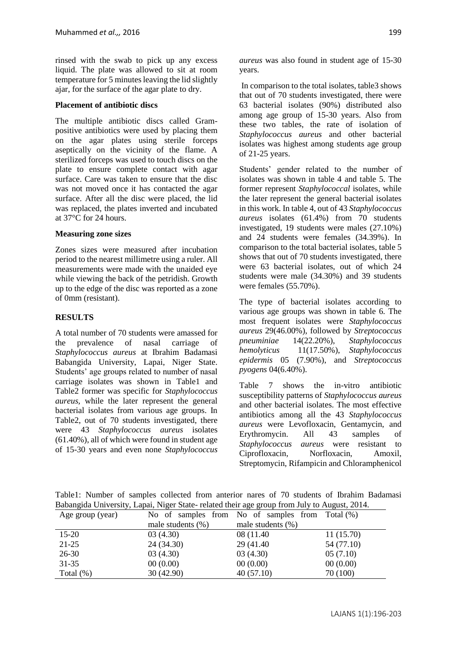rinsed with the swab to pick up any excess liquid. The plate was allowed to sit at room temperature for 5 minutes leaving the lid slightly ajar, for the surface of the agar plate to dry.

#### **Placement of antibiotic discs**

The multiple antibiotic discs called Grampositive antibiotics were used by placing them on the agar plates using sterile forceps aseptically on the vicinity of the flame. A sterilized forceps was used to touch discs on the plate to ensure complete contact with agar surface. Care was taken to ensure that the disc was not moved once it has contacted the agar surface. After all the disc were placed, the lid was replaced, the plates inverted and incubated at 37°C for 24 hours.

#### **Measuring zone sizes**

Zones sizes were measured after incubation period to the nearest millimetre using a ruler. All measurements were made with the unaided eye while viewing the back of the petridish. Growth up to the edge of the disc was reported as a zone of 0mm (resistant).

### **RESULTS**

A total number of 70 students were amassed for the prevalence of nasal carriage of *Staphylococcus aureus* at Ibrahim Badamasi Babangida University, Lapai, Niger State. Students' age groups related to number of nasal carriage isolates was shown in Table1 and Table2 former was specific for *Staphylococcus aureus,* while the later represent the general bacterial isolates from various age groups. In Table2, out of 70 students investigated, there were 43 *Staphylococcus aureus* isolates (61.40%), all of which were found in student age of 15-30 years and even none *Staphylococcus*  *aureus* was also found in student age of 15-30 years.

In comparison to the total isolates, table3 shows that out of 70 students investigated, there were 63 bacterial isolates (90%) distributed also among age group of 15-30 years. Also from these two tables, the rate of isolation of *Staphylococcus aureus* and other bacterial isolates was highest among students age group of 21-25 years.

Students' gender related to the number of isolates was shown in table 4 and table 5. The former represent *Staphylococcal* isolates, while the later represent the general bacterial isolates in this work. In table 4, out of 43 *Staphylococcus aureus* isolates (61.4%) from 70 students investigated, 19 students were males (27.10%) and 24 students were females (34.39%). In comparison to the total bacterial isolates, table 5 shows that out of 70 students investigated, there were 63 bacterial isolates, out of which 24 students were male (34.30%) and 39 students were females (55.70%).

The type of bacterial isolates according to various age groups was shown in table 6. The most frequent isolates were *Staphylococcus aureus* 29(46.00%), followed by *Streptococcus pneuminiae* 14(22.20%), *Staphylococcus hemolyticus* 11(17.50%), *Staphylococcus epidermis* 05 (7.90%), and *Streptococcus pyogens* 04(6.40%).

Table 7 shows the in-vitro antibiotic susceptibility patterns of *Staphylococcus aureus* and other bacterial isolates. The most effective antibiotics among all the 43 *Staphylococcus aureus* were Levofloxacin, Gentamycin, and Erythromycin. All 43 samples of *Staphylococcus aureus* were resistant to Ciprofloxacin, Norfloxacin, Amoxil, Streptomycin, Rifampicin and Chloramphenicol

Table1: Number of samples collected from anterior nares of 70 students of Ibrahim Badamasi Babangida University, Lapai, Niger State- related their age group from July to August, 2014.

| Age group (year) |                       | ີ<br>No of samples from No of samples from Total $(\%)$ |            |
|------------------|-----------------------|---------------------------------------------------------|------------|
|                  | male students $(\% )$ | male students $(\%)$                                    |            |
| $15-20$          | 03(4.30)              | 08 (11.40)                                              | 11(15.70)  |
| $21 - 25$        | 24(34.30)             | 29 (41.40)                                              | 54 (77.10) |
| $26-30$          | 03(4.30)              | 03(4.30)                                                | 05(7.10)   |
| $31 - 35$        | 00(0.00)              | 00(0.00)                                                | 00(0.00)   |
| Total $(\%)$     | 30(42.90)             | 40(57.10)                                               | 70 (100)   |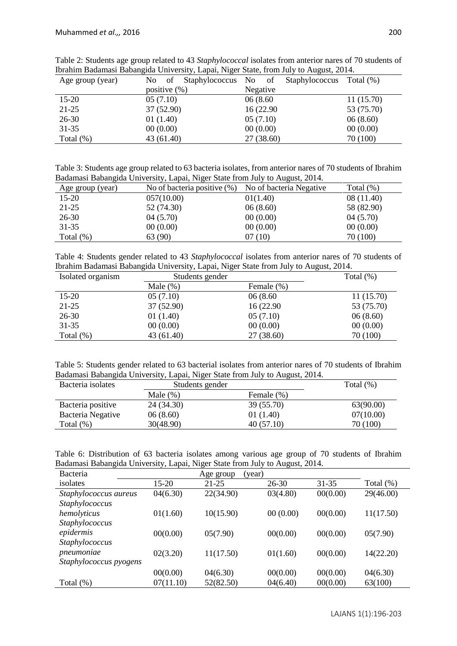| Age group (year) | Staphylococcus<br>No of | No.<br>of Staphylococcus Total (%) |            |  |  |
|------------------|-------------------------|------------------------------------|------------|--|--|
|                  | positive $(\%)$         | Negative                           |            |  |  |
| $15-20$          | 05(7.10)                | 06(8.60)                           | 11(15.70)  |  |  |
| $21 - 25$        | 37(52.90)               | 16 (22.90)                         | 53 (75.70) |  |  |
| $26 - 30$        | 01(1.40)                | 05(7.10)                           | 06(8.60)   |  |  |
| $31 - 35$        | 00(0.00)                | 00(0.00)                           | 00(0.00)   |  |  |
| Total (%)        | 43 (61.40)              | 27(38.60)                          | 70 (100)   |  |  |

Table 2: Students age group related to 43 *Staphylococcal* isolates from anterior nares of 70 students of Ibrahim Badamasi Babangida University, Lapai, Niger State, from July to August, 2014.

Table 3: Students age group related to 63 bacteria isolates, from anterior nares of 70 students of Ibrahim Badamasi Babangida University, Lapai, Niger State from July to August, 2014.

| Age group (year) | No of bacteria positive $(\%)$ | No of bacteria Negative | Total $(\%)$ |
|------------------|--------------------------------|-------------------------|--------------|
| $15 - 20$        | 057(10.00)                     | 01(1.40)                | 08(11.40)    |
| $21 - 25$        | 52 (74.30)                     | 06(8.60)                | 58 (82.90)   |
| 26-30            | 04(5.70)                       | 00(0.00)                | 04(5.70)     |
| $31 - 35$        | 00(0.00)                       | 00(0.00)                | 00(0.00)     |
| Total $(\%)$     | 63 (90)                        | 07(10)                  | 70 (100)     |

Table 4: Students gender related to 43 *Staphylococcal* isolates from anterior nares of 70 students of Ibrahim Badamasi Babangida University, Lapai, Niger State from July to August, 2014.

| Isolated organism | Students gender |            | Total $(\%)$ |
|-------------------|-----------------|------------|--------------|
|                   | Male $(\%)$     | Female (%) |              |
| $15 - 20$         | 05(7.10)        | 06 (8.60)  | 11(15.70)    |
| 21-25             | 37 (52.90)      | 16 (22.90) | 53 (75.70)   |
| $26-30$           | 01(1.40)        | 05(7.10)   | 06(8.60)     |
| $31 - 35$         | 00(0.00)        | 00(0.00)   | 00(0.00)     |
| Total $(\%)$      | 43 (61.40)      | 27(38.60)  | 70 (100)     |

Table 5: Students gender related to 63 bacterial isolates from anterior nares of 70 students of Ibrahim Badamasi Babangida University, Lapai, Niger State from July to August, 2014.

| Bacteria isolates |             | Students gender |           |  |  |
|-------------------|-------------|-----------------|-----------|--|--|
|                   | Male $(\%)$ | Female (%)      |           |  |  |
| Bacteria positive | 24 (34.30)  | 39 (55.70)      | 63(90.00) |  |  |
| Bacteria Negative | 06(8.60)    | 01 (1.40)       | 07(10.00) |  |  |
| Total $(\%)$      | 30(48.90)   | 40(57.10)       | 70 (100)  |  |  |

|  | Table 6: Distribution of 63 bacteria isolates among various age group of 70 students of Ibrahim |  |  |  |  |  |  |  |
|--|-------------------------------------------------------------------------------------------------|--|--|--|--|--|--|--|
|  | Badamasi Babangida University, Lapai, Niger State from July to August, 2014.                    |  |  |  |  |  |  |  |

| <b>Bacteria</b>        |           | (year)<br>Age group |           |          |              |
|------------------------|-----------|---------------------|-----------|----------|--------------|
| isolates               | 15-20     | $21 - 25$           | $26 - 30$ | 31-35    | Total $(\%)$ |
| Staphylococcus aureus  | 04(6.30)  | 22(34.90)           | 03(4.80)  | 00(0.00) | 29(46.00)    |
| Staphylococcus         |           |                     |           |          |              |
| hemolyticus            | 01(1.60)  | 10(15.90)           | 00(0.00)  | 00(0.00) | 11(17.50)    |
| Staphylococcus         |           |                     |           |          |              |
| epidermis              | 00(0.00)  | 05(7.90)            | 00(0.00)  | 00(0.00) | 05(7.90)     |
| Staphylococcus         |           |                     |           |          |              |
| pneumoniae             | 02(3.20)  | 11(17.50)           | 01(1.60)  | 00(0.00) | 14(22.20)    |
| Staphylococcus pyogens |           |                     |           |          |              |
|                        | 00(0.00)  | 04(6.30)            | 00(0.00)  | 00(0.00) | 04(6.30)     |
| Total $(\%)$           | 07(11.10) | 52(82.50)           | 04(6.40)  | 00(0.00) | 63(100)      |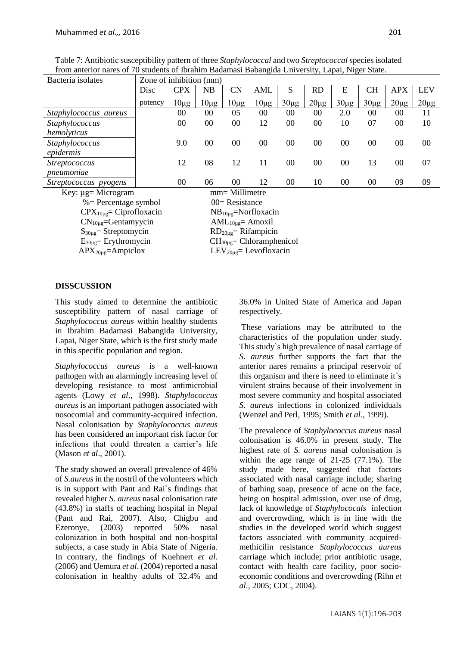Table 7: Antibiotic susceptibility pattern of three *Staphylococcal* and two *Streptococcal* species isolated from anterior nares of 70 students of Ibrahim Badamasi Babangida University, Lapai, Niger State.

| Bacteria isolates     | Zone of inhibition (mm) |            |           |           |           |                 |           |           |           |            |            |
|-----------------------|-------------------------|------------|-----------|-----------|-----------|-----------------|-----------|-----------|-----------|------------|------------|
|                       | Disc                    | <b>CPX</b> | NB        | <b>CN</b> | AML       | S               | <b>RD</b> | Е         | <b>CH</b> | <b>APX</b> | <b>LEV</b> |
|                       | potency                 | $10\mu$ g  | $10\mu$ g | $10\mu g$ | $10\mu$ g | $30\mu g$       | $20\mu$ g | $30\mu g$ | $30\mu g$ | $20\mu g$  | $20\mu g$  |
| Staphylococcus aureus |                         | 00         | 00        | 05        | 00        | 00              | 00        | 2.0       | $00\,$    | 00         | 11         |
| Staphylococcus        |                         | 00         | 00        | 00        | 12        | 00              | 00        | 10        | 07        | 00         | 10         |
| hemolyticus           |                         |            |           |           |           |                 |           |           |           |            |            |
| Staphylococcus        |                         | 9.0        | 00        | 00        | 00        | 00              | 00        | 00        | 00        | 00         | 00         |
| epidermis             |                         |            |           |           |           |                 |           |           |           |            |            |
| <i>Streptococcus</i>  |                         | 12         | 08        | 12        | 11        | 00 <sup>2</sup> | $00\,$    | 00        | 13        | 00         | 07         |
| pneumoniae            |                         |            |           |           |           |                 |           |           |           |            |            |
| Streptococcus pyogens |                         | 00         | 06        | 00        | 12        | 00              | 10        | 00        | 00        | 09         | 09         |

Key:  $\mu$ g= Microgram mm= Millimetre  $%$  Percentage symbol  $00=$  Resistance  $CPX_{10\mu g} = Ciproflox (in$   $NB_{10\mu g} = Norflox (in$  $CN_{10\mu g}$ =Gentamyycin  $AML_{10\mu g}$ = Amoxil  $S_{30\mu g}$  Streptomycin RD<sub>20µg</sub> Rifampicin  $E_{30\mu\text{g}}$ = Erythromycin CH<sub>30µg</sub>= Chloramphenicol

 $APX_{20\mu} = Ampiclox$  LEV<sub>20ug</sub> Levofloxacin

# **DISSCUSSION**

This study aimed to determine the antibiotic susceptibility pattern of nasal carriage of *Staphylococcus aureus* within healthy students in Ibrahim Badamasi Babangida University, Lapai, Niger State, which is the first study made in this specific population and region.

*Staphylococcus aureus* is a well-known pathogen with an alarmingly increasing level of developing resistance to most antimicrobial agents (Lowy *et al*., 1998). *Staphylococcus aureus* is an important pathogen associated with nosocomial and community-acquired infection. Nasal colonisation by *Staphylococcus aureus* has been considered an important risk factor for infections that could threaten a carrier's life (Mason *et al*., 2001).

The study showed an overall prevalence of 46% of *S.aureus* in the nostril of the volunteers which is in support with Pant and Rai`s findings that revealed higher *S. aureus* nasal colonisation rate (43.8%) in staffs of teaching hospital in Nepal (Pant and Rai, 2007). Also, Chigbu and Ezeronye, (2003) reported 50% nasal colonization in both hospital and non-hospital subjects, a case study in Abia State of Nigeria. In contrary, the findings of Kuehnert *et al*. (2006) and Uemura *et al*. (2004) reported a nasal colonisation in healthy adults of 32.4% and 36.0% in United State of America and Japan respectively.

These variations may be attributed to the characteristics of the population under study. This study`s high prevalence of nasal carriage of *S. aureus* further supports the fact that the anterior nares remains a principal reservoir of this organism and there is need to eliminate it`s virulent strains because of their involvement in most severe community and hospital associated *S. aureus* infections in colonized individuals (Wenzel and Perl, 1995; Smith *et al*., 1999).

The prevalence of *Staphylococcus aureus* nasal colonisation is 46.0% in present study. The highest rate of *S. aureus* nasal colonisation is within the age range of 21-25 (77.1%). The study made here, suggested that factors associated with nasal carriage include; sharing of bathing soap, presence of acne on the face, being on hospital admission, over use of drug, lack of knowledge of *Staphylococals* infection and overcrowding, which is in line with the studies in the developed world which suggest factors associated with community acquiredmethicilin resistance *Staphylococcus aureus* carriage which include; prior antibiotic usage, contact with health care facility, poor socioeconomic conditions and overcrowding (Rihn *et al*., 2005; CDC, 2004).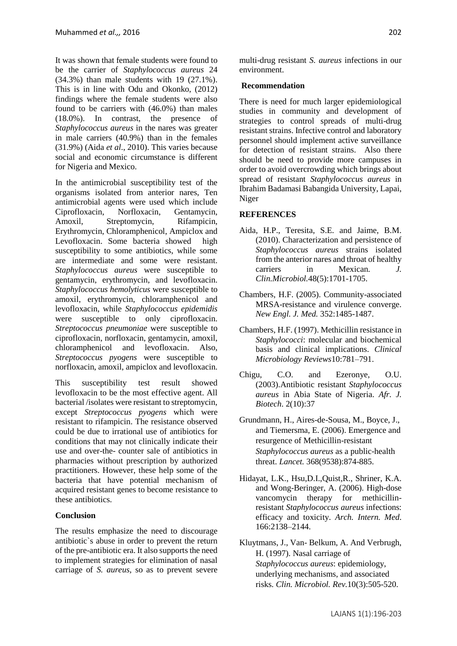It was shown that female students were found to be the carrier of *Staphylococcus aureus* 24 (34.3%) than male students with 19 (27.1%). This is in line with Odu and Okonko, (2012) findings where the female students were also found to be carriers with (46.0%) than males (18.0%). In contrast, the presence of *Staphylococcus aureus* in the nares was greater in male carriers (40.9%) than in the females (31.9%) (Aida *et al*., 2010). This varies because social and economic circumstance is different for Nigeria and Mexico.

In the antimicrobial susceptibility test of the organisms isolated from anterior nares, Ten antimicrobial agents were used which include Ciprofloxacin, Norfloxacin, Gentamycin, Amoxil, Streptomycin, Rifampicin, Erythromycin, Chloramphenicol, Ampiclox and Levofloxacin. Some bacteria showed high susceptibility to some antibiotics, while some are intermediate and some were resistant. *Staphylococcus aureus* were susceptible to gentamycin, erythromycin, and levofloxacin. *Staphylococcus hemolyticus* were susceptible to amoxil, erythromycin, chloramphenicol and levofloxacin, while *Staphylococcus epidemidis* were susceptible to only ciprofloxacin. *Streptococcus pneumoniae* were susceptible to ciprofloxacin, norfloxacin, gentamycin, amoxil, chloramphenicol and levofloxacin. Also, *Streptococcus pyogens* were susceptible to norfloxacin, amoxil, ampiclox and levofloxacin.

This susceptibility test result showed levofloxacin to be the most effective agent. All bacterial /isolates were resistant to streptomycin, except *Streptococcus pyogens* which were resistant to rifampicin. The resistance observed could be due to irrational use of antibiotics for conditions that may not clinically indicate their use and over-the- counter sale of antibiotics in pharmacies without prescription by authorized practitioners. However, these help some of the bacteria that have potential mechanism of acquired resistant genes to become resistance to these antibiotics.

### **Conclusion**

The results emphasize the need to discourage antibiotic`s abuse in order to prevent the return of the pre-antibiotic era. It also supports the need to implement strategies for elimination of nasal carriage of *S. aureus,* so as to prevent severe multi-drug resistant *S. aureus* infections in our environment.

### **Recommendation**

There is need for much larger epidemiological studies in community and development of strategies to control spreads of multi-drug resistant strains. Infective control and laboratory personnel should implement active surveillance for detection of resistant strains. Also there should be need to provide more campuses in order to avoid overcrowding which brings about spread of resistant *Staphylococcus aureus* in Ibrahim Badamasi Babangida University, Lapai, Niger

### **REFERENCES**

- Aida, H.P., Teresita, S.E. and Jaime, B.M. (2010). Characterization and persistence of *Staphylococcus aureus* strains isolated from the anterior nares and throat of healthy carriers in Mexican. *J. Clin.Microbiol.*48(5):1701-1705.
- Chambers, H.F. (2005). Community-associated MRSA-resistance and virulence converge. *New Engl. J. Med.* 352:1485-1487.
- Chambers, H.F. (1997). Methicillin resistance in *Staphylococci*: molecular and biochemical basis and clinical implications. *Clinical Microbiology Reviews*10:781–791.
- Chigu, C.O. and Ezeronye, O.U. (2003).Antibiotic resistant *Staphylococcus aureus* in Abia State of Nigeria. *Afr. J. Biotech*. 2(10):37
- Grundmann, H., Aires-de-Sousa, M., Boyce, J., and Tiemersma, E. (2006). Emergence and resurgence of Methicillin-resistant *Staphylococcus aureus* as a public-health threat. *Lancet.* 368(9538):874-885.
- Hidayat, L.K., Hsu,D.I.,Quist,R., Shriner, K.A. and Wong-Beringer, A. (2006). High-dose vancomycin therapy for methicillinresistant *Staphylococcus aureus* infections: efficacy and toxicity. *Arch. Intern. Med*. 166:2138–2144.
- Kluytmans, J., Van- Belkum, A. And Verbrugh, H. (1997). Nasal carriage of *Staphylococcus aureus*: epidemiology, underlying mechanisms, and associated risks. *Clin. Microbiol. Rev.*10(3):505-520.